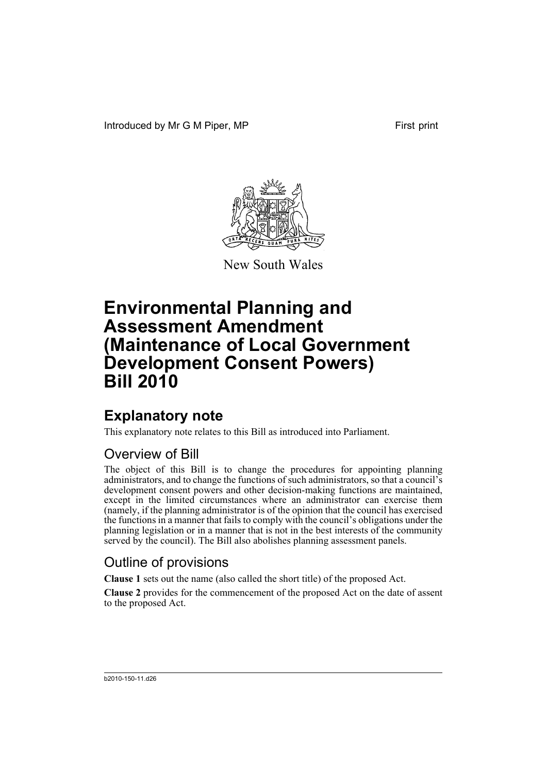

New South Wales

# **Explanatory note**

This explanatory note relates to this Bill as introduced into Parliament.

# Overview of Bill

The object of this Bill is to change the procedures for appointing planning administrators, and to change the functions of such administrators, so that a council's development consent powers and other decision-making functions are maintained, except in the limited circumstances where an administrator can exercise them (namely, if the planning administrator is of the opinion that the council has exercised the functions in a manner that fails to comply with the council's obligations under the planning legislation or in a manner that is not in the best interests of the community served by the council). The Bill also abolishes planning assessment panels.

# Outline of provisions

**Clause 1** sets out the name (also called the short title) of the proposed Act.

**Clause 2** provides for the commencement of the proposed Act on the date of assent to the proposed Act.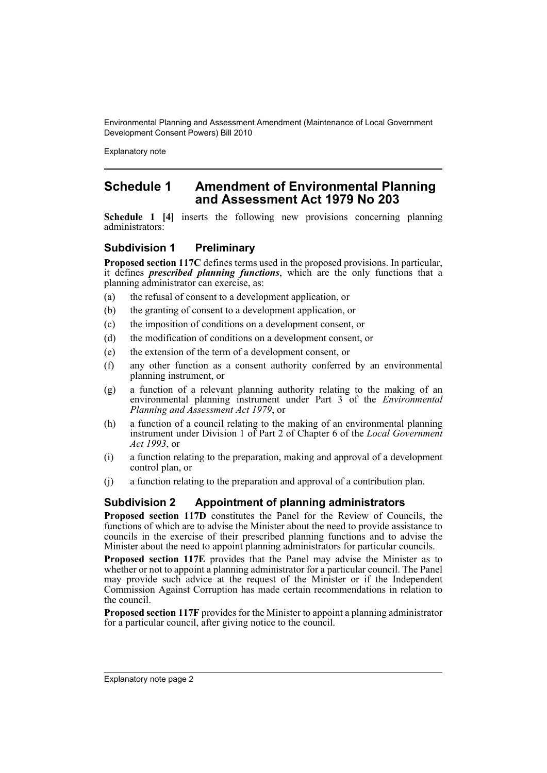Explanatory note

# **Schedule 1 Amendment of Environmental Planning and Assessment Act 1979 No 203**

**Schedule 1 [4]** inserts the following new provisions concerning planning administrators:

## **Subdivision 1 Preliminary**

**Proposed section 117C** defines terms used in the proposed provisions. In particular, it defines *prescribed planning functions*, which are the only functions that a planning administrator can exercise, as:

- (a) the refusal of consent to a development application, or
- (b) the granting of consent to a development application, or
- (c) the imposition of conditions on a development consent, or
- (d) the modification of conditions on a development consent, or
- (e) the extension of the term of a development consent, or
- (f) any other function as a consent authority conferred by an environmental planning instrument, or
- (g) a function of a relevant planning authority relating to the making of an environmental planning instrument under Part 3 of the *Environmental Planning and Assessment Act 1979*, or
- (h) a function of a council relating to the making of an environmental planning instrument under Division 1 of Part 2 of Chapter 6 of the *Local Government Act 1993*, or
- (i) a function relating to the preparation, making and approval of a development control plan, or
- (j) a function relating to the preparation and approval of a contribution plan.

## **Subdivision 2 Appointment of planning administrators**

**Proposed section 117D** constitutes the Panel for the Review of Councils, the functions of which are to advise the Minister about the need to provide assistance to councils in the exercise of their prescribed planning functions and to advise the Minister about the need to appoint planning administrators for particular councils.

**Proposed section 117E** provides that the Panel may advise the Minister as to whether or not to appoint a planning administrator for a particular council. The Panel may provide such advice at the request of the Minister or if the Independent Commission Against Corruption has made certain recommendations in relation to the council.

**Proposed section 117F** provides for the Minister to appoint a planning administrator for a particular council, after giving notice to the council.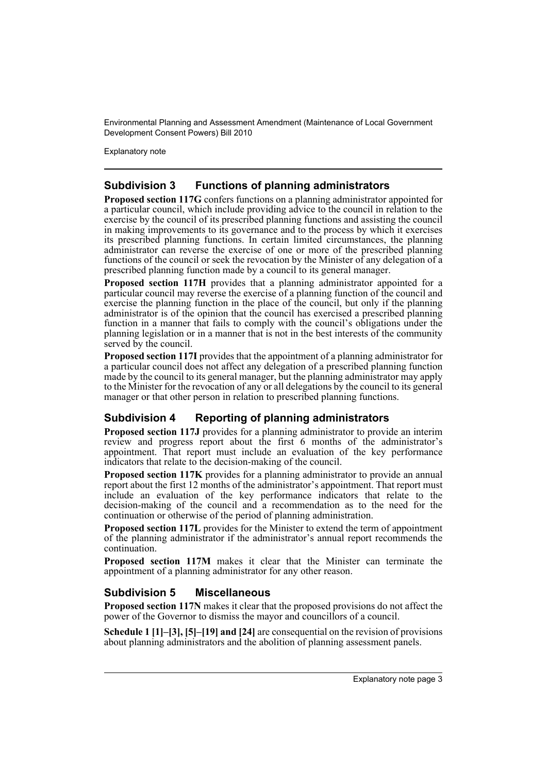Explanatory note

## **Subdivision 3 Functions of planning administrators**

**Proposed section 117G** confers functions on a planning administrator appointed for a particular council, which include providing advice to the council in relation to the exercise by the council of its prescribed planning functions and assisting the council in making improvements to its governance and to the process by which it exercises its prescribed planning functions. In certain limited circumstances, the planning administrator can reverse the exercise of one or more of the prescribed planning functions of the council or seek the revocation by the Minister of any delegation of a prescribed planning function made by a council to its general manager.

**Proposed section 117H** provides that a planning administrator appointed for a particular council may reverse the exercise of a planning function of the council and exercise the planning function in the place of the council, but only if the planning administrator is of the opinion that the council has exercised a prescribed planning function in a manner that fails to comply with the council's obligations under the planning legislation or in a manner that is not in the best interests of the community served by the council.

**Proposed section 117I** provides that the appointment of a planning administrator for a particular council does not affect any delegation of a prescribed planning function made by the council to its general manager, but the planning administrator may apply to the Minister for the revocation of any or all delegations by the council to its general manager or that other person in relation to prescribed planning functions.

## **Subdivision 4 Reporting of planning administrators**

**Proposed section 117J** provides for a planning administrator to provide an interim review and progress report about the first 6 months of the administrator's appointment. That report must include an evaluation of the key performance indicators that relate to the decision-making of the council.

**Proposed section 117K** provides for a planning administrator to provide an annual report about the first 12 months of the administrator's appointment. That report must include an evaluation of the key performance indicators that relate to the decision-making of the council and a recommendation as to the need for the continuation or otherwise of the period of planning administration.

**Proposed section 117L** provides for the Minister to extend the term of appointment of the planning administrator if the administrator's annual report recommends the continuation.

**Proposed section 117M** makes it clear that the Minister can terminate the appointment of a planning administrator for any other reason.

## **Subdivision 5 Miscellaneous**

**Proposed section 117N** makes it clear that the proposed provisions do not affect the power of the Governor to dismiss the mayor and councillors of a council.

**Schedule 1 [1]–[3], [5]–[19] and [24]** are consequential on the revision of provisions about planning administrators and the abolition of planning assessment panels.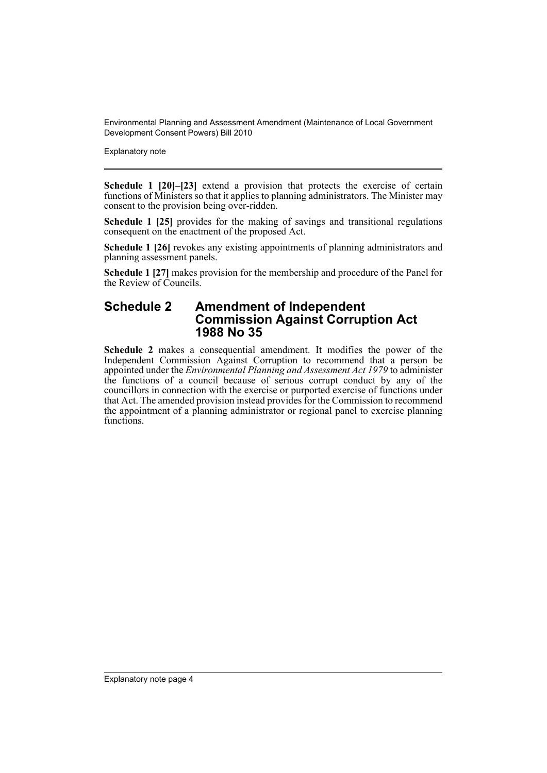Explanatory note

**Schedule 1 [20]–[23]** extend a provision that protects the exercise of certain functions of Ministers so that it applies to planning administrators. The Minister may consent to the provision being over-ridden.

**Schedule 1 [25]** provides for the making of savings and transitional regulations consequent on the enactment of the proposed Act.

**Schedule 1 [26]** revokes any existing appointments of planning administrators and planning assessment panels.

**Schedule 1 [27]** makes provision for the membership and procedure of the Panel for the Review of Councils.

## **Schedule 2 Amendment of Independent Commission Against Corruption Act 1988 No 35**

**Schedule 2** makes a consequential amendment. It modifies the power of the Independent Commission Against Corruption to recommend that a person be appointed under the *Environmental Planning and Assessment Act 1979* to administer the functions of a council because of serious corrupt conduct by any of the councillors in connection with the exercise or purported exercise of functions under that Act. The amended provision instead provides for the Commission to recommend the appointment of a planning administrator or regional panel to exercise planning functions.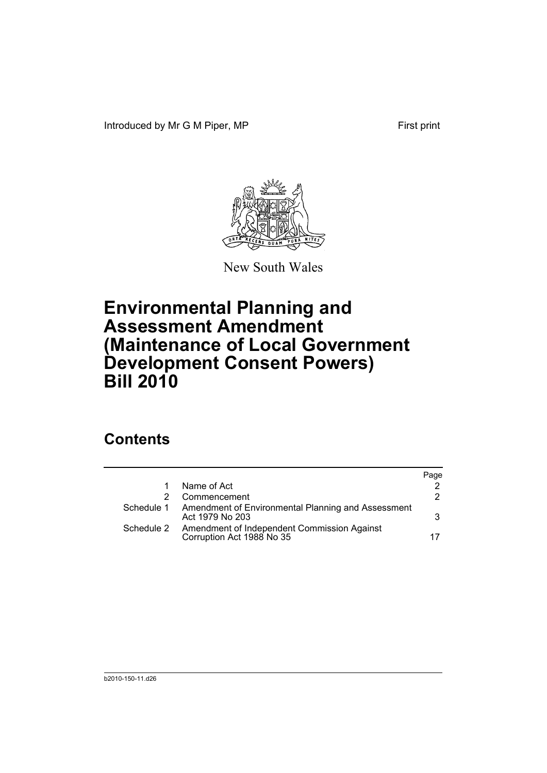Introduced by Mr G M Piper, MP First print



New South Wales

# **Environmental Planning and Assessment Amendment (Maintenance of Local Government Development Consent Powers) Bill 2010**

# **Contents**

|            |                                                                          | Page |
|------------|--------------------------------------------------------------------------|------|
| 1          | Name of Act                                                              |      |
|            | Commencement                                                             | 2    |
| Schedule 1 | Amendment of Environmental Planning and Assessment<br>Act 1979 No 203    | 3    |
| Schedule 2 | Amendment of Independent Commission Against<br>Corruption Act 1988 No 35 | 17   |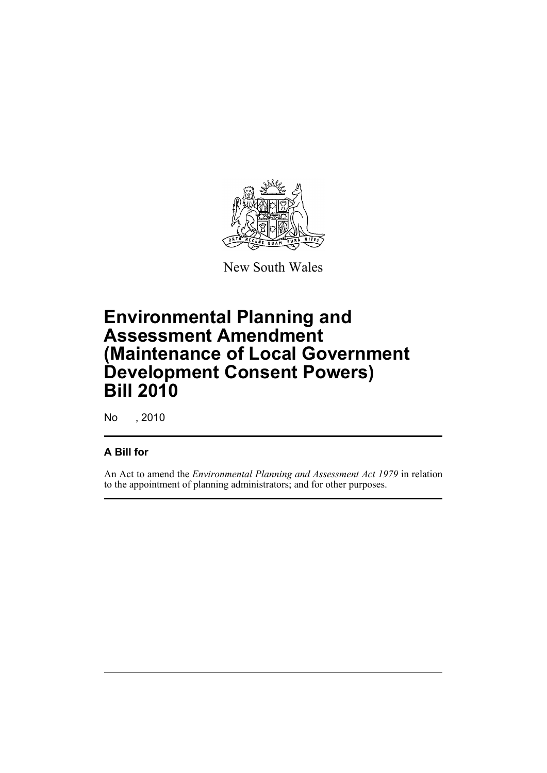

New South Wales

# **Environmental Planning and Assessment Amendment (Maintenance of Local Government Development Consent Powers) Bill 2010**

No , 2010

# **A Bill for**

An Act to amend the *Environmental Planning and Assessment Act 1979* in relation to the appointment of planning administrators; and for other purposes.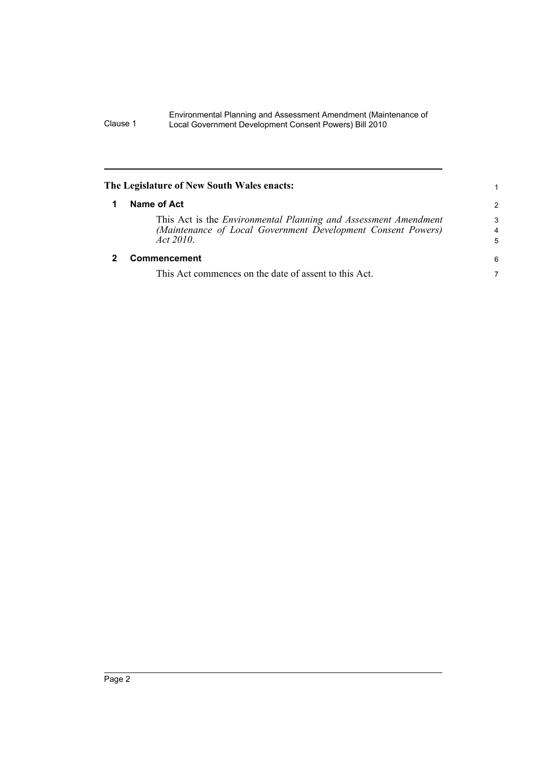<span id="page-7-1"></span><span id="page-7-0"></span>

| The Legislature of New South Wales enacts:                                                                                                             | 1             |
|--------------------------------------------------------------------------------------------------------------------------------------------------------|---------------|
| Name of Act                                                                                                                                            | $\mathcal{P}$ |
| This Act is the <i>Environmental Planning and Assessment Amendment</i><br>(Maintenance of Local Government Development Consent Powers)<br>Act $2010$ . | 3<br>4<br>5   |
| <b>Commencement</b>                                                                                                                                    | 6             |
| This Act commences on the date of assent to this Act.                                                                                                  | 7             |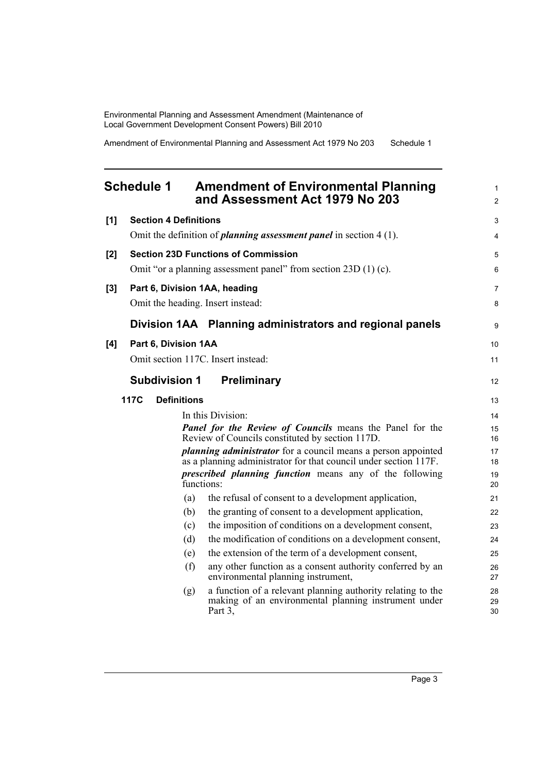Amendment of Environmental Planning and Assessment Act 1979 No 203 Schedule 1

## <span id="page-8-0"></span>**Schedule 1 Amendment of Environmental Planning and Assessment Act 1979 No 203**

| Omit the definition of <i>planning assessment panel</i> in section $4(1)$ .<br><b>Section 23D Functions of Commission</b><br>[2]<br>Omit "or a planning assessment panel" from section $23D(1)(c)$ .<br>Part 6, Division 1AA, heading<br>[3]<br>Omit the heading. Insert instead: | $\overline{4}$<br>5<br>6<br>$\overline{7}$<br>8 |
|-----------------------------------------------------------------------------------------------------------------------------------------------------------------------------------------------------------------------------------------------------------------------------------|-------------------------------------------------|
|                                                                                                                                                                                                                                                                                   |                                                 |
|                                                                                                                                                                                                                                                                                   |                                                 |
|                                                                                                                                                                                                                                                                                   |                                                 |
|                                                                                                                                                                                                                                                                                   |                                                 |
|                                                                                                                                                                                                                                                                                   |                                                 |
| Division 1AA Planning administrators and regional panels                                                                                                                                                                                                                          | 9                                               |
| [4]<br>Part 6, Division 1AA                                                                                                                                                                                                                                                       | 10                                              |
| Omit section 117C. Insert instead:                                                                                                                                                                                                                                                | 11                                              |
| <b>Subdivision 1</b><br><b>Preliminary</b>                                                                                                                                                                                                                                        | 12                                              |
| <b>117C</b><br><b>Definitions</b>                                                                                                                                                                                                                                                 | 13                                              |
| In this Division:                                                                                                                                                                                                                                                                 | 14                                              |
| <b>Panel for the Review of Councils means the Panel for the</b><br>Review of Councils constituted by section 117D.                                                                                                                                                                | 15<br>16                                        |
| <i>planning administrator</i> for a council means a person appointed<br>as a planning administrator for that council under section 117F.                                                                                                                                          | 17<br>18                                        |
| <i>prescribed planning function</i> means any of the following<br>functions:                                                                                                                                                                                                      | 19<br>20                                        |
| the refusal of consent to a development application,<br>(a)                                                                                                                                                                                                                       | 21                                              |
| the granting of consent to a development application,<br>(b)                                                                                                                                                                                                                      | 22                                              |
| the imposition of conditions on a development consent,<br>(c)                                                                                                                                                                                                                     | 23                                              |
| the modification of conditions on a development consent,<br>(d)                                                                                                                                                                                                                   | 24                                              |
| the extension of the term of a development consent,<br>(e)                                                                                                                                                                                                                        | 25                                              |
| (f)<br>any other function as a consent authority conferred by an<br>environmental planning instrument,                                                                                                                                                                            | 26<br>27                                        |
| a function of a relevant planning authority relating to the<br>(g)<br>making of an environmental planning instrument under<br>Part 3,                                                                                                                                             | 28<br>29<br>30                                  |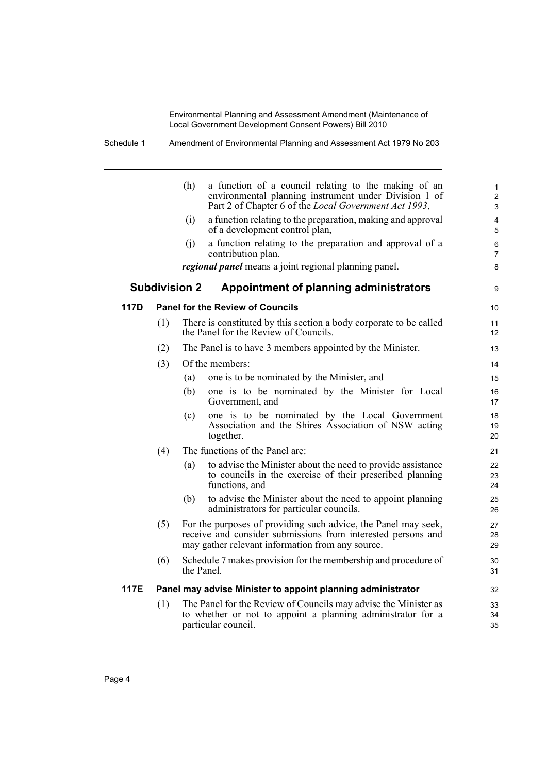Schedule 1 Amendment of Environmental Planning and Assessment Act 1979 No 203

|      |     | (h)                                                                                                                                                                                | a function of a council relating to the making of an<br>environmental planning instrument under Division 1 of<br>Part 2 of Chapter 6 of the Local Government Act 1993, | $\mathbf{1}$<br>$\overline{2}$<br>$\mathfrak{S}$ |
|------|-----|------------------------------------------------------------------------------------------------------------------------------------------------------------------------------------|------------------------------------------------------------------------------------------------------------------------------------------------------------------------|--------------------------------------------------|
|      |     | (i)                                                                                                                                                                                | a function relating to the preparation, making and approval<br>of a development control plan,                                                                          | 4<br>5                                           |
|      |     | (i)                                                                                                                                                                                | a function relating to the preparation and approval of a<br>contribution plan.                                                                                         | 6<br>$\overline{7}$                              |
|      |     |                                                                                                                                                                                    | regional panel means a joint regional planning panel.                                                                                                                  | 8                                                |
|      |     | <b>Subdivision 2</b>                                                                                                                                                               | Appointment of planning administrators                                                                                                                                 | 9                                                |
| 117D |     |                                                                                                                                                                                    | <b>Panel for the Review of Councils</b>                                                                                                                                | 10                                               |
|      | (1) |                                                                                                                                                                                    | There is constituted by this section a body corporate to be called<br>the Panel for the Review of Councils.                                                            | 11<br>12                                         |
|      | (2) |                                                                                                                                                                                    | The Panel is to have 3 members appointed by the Minister.                                                                                                              | 13                                               |
|      | (3) |                                                                                                                                                                                    | Of the members:                                                                                                                                                        | 14                                               |
|      |     | (a)                                                                                                                                                                                | one is to be nominated by the Minister, and                                                                                                                            | 15                                               |
|      |     | (b)                                                                                                                                                                                | one is to be nominated by the Minister for Local<br>Government, and                                                                                                    | 16<br>17                                         |
|      |     | (c)                                                                                                                                                                                | one is to be nominated by the Local Government<br>Association and the Shires Association of NSW acting<br>together.                                                    | 18<br>19<br>20                                   |
|      | (4) |                                                                                                                                                                                    | The functions of the Panel are:                                                                                                                                        | 21                                               |
|      |     | (a)                                                                                                                                                                                | to advise the Minister about the need to provide assistance<br>to councils in the exercise of their prescribed planning<br>functions, and                              | 22<br>23<br>24                                   |
|      |     | (b)                                                                                                                                                                                | to advise the Minister about the need to appoint planning<br>administrators for particular councils.                                                                   | 25<br>26                                         |
|      | (5) | For the purposes of providing such advice, the Panel may seek,<br>receive and consider submissions from interested persons and<br>may gather relevant information from any source. | 27<br>28<br>29                                                                                                                                                         |                                                  |
|      | (6) | the Panel                                                                                                                                                                          | Schedule 7 makes provision for the membership and procedure of                                                                                                         | 30<br>31                                         |
| 117E |     |                                                                                                                                                                                    | Panel may advise Minister to appoint planning administrator                                                                                                            | 32                                               |
|      | (1) |                                                                                                                                                                                    | The Panel for the Review of Councils may advise the Minister as<br>to whether or not to appoint a planning administrator for a<br>particular council.                  | 33<br>34<br>35                                   |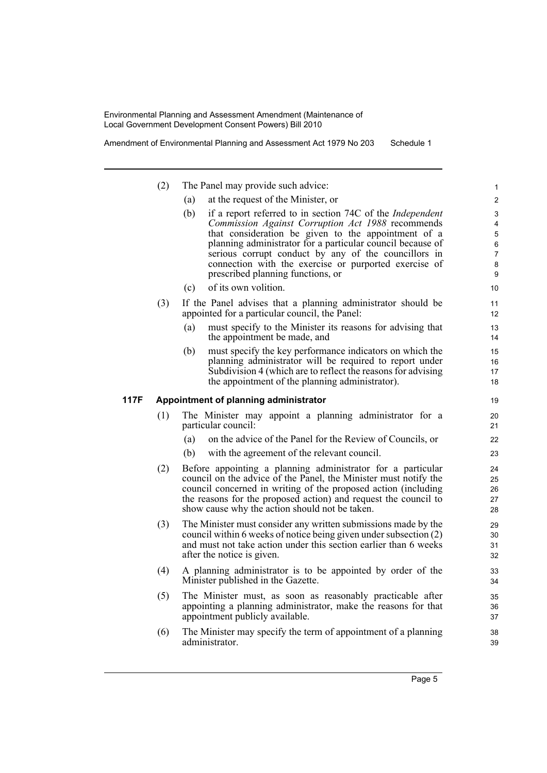Amendment of Environmental Planning and Assessment Act 1979 No 203 Schedule 1

| (2) | The Panel may provide such advice: |  |
|-----|------------------------------------|--|
|-----|------------------------------------|--|

- (a) at the request of the Minister, or
- (b) if a report referred to in section 74C of the *Independent Commission Against Corruption Act 1988* recommends that consideration be given to the appointment of a planning administrator for a particular council because of serious corrupt conduct by any of the councillors in connection with the exercise or purported exercise of prescribed planning functions, or
- (c) of its own volition.
- (3) If the Panel advises that a planning administrator should be appointed for a particular council, the Panel:
	- (a) must specify to the Minister its reasons for advising that the appointment be made, and
	- (b) must specify the key performance indicators on which the planning administrator will be required to report under Subdivision 4 (which are to reflect the reasons for advising the appointment of the planning administrator).

### **117F Appointment of planning administrator**

- (1) The Minister may appoint a planning administrator for a particular council:
	- (a) on the advice of the Panel for the Review of Councils, or
	- (b) with the agreement of the relevant council.
- (2) Before appointing a planning administrator for a particular council on the advice of the Panel, the Minister must notify the council concerned in writing of the proposed action (including the reasons for the proposed action) and request the council to show cause why the action should not be taken.
- (3) The Minister must consider any written submissions made by the council within 6 weeks of notice being given under subsection (2) and must not take action under this section earlier than 6 weeks after the notice is given.
- (4) A planning administrator is to be appointed by order of the Minister published in the Gazette.
- (5) The Minister must, as soon as reasonably practicable after appointing a planning administrator, make the reasons for that appointment publicly available.
- (6) The Minister may specify the term of appointment of a planning administrator.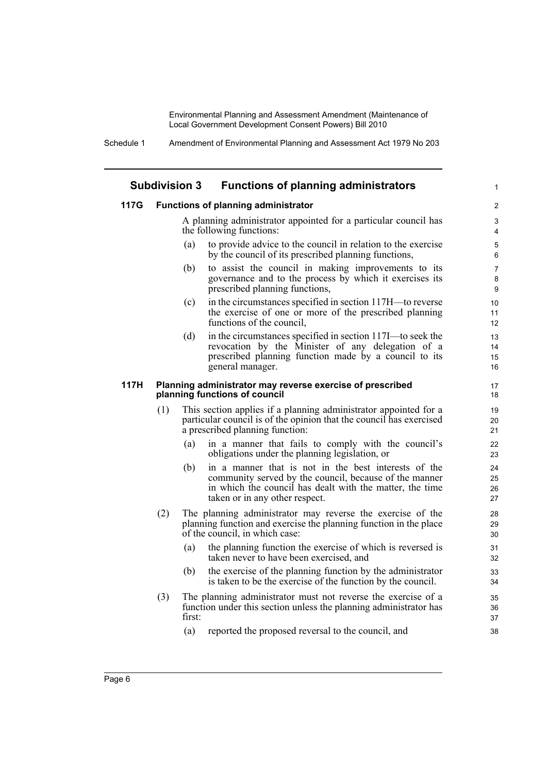Schedule 1 Amendment of Environmental Planning and Assessment Act 1979 No 203

## **Subdivision 3 Functions of planning administrators**

### **117G Functions of planning administrator**

A planning administrator appointed for a particular council has the following functions:

1

- (a) to provide advice to the council in relation to the exercise by the council of its prescribed planning functions,
- (b) to assist the council in making improvements to its governance and to the process by which it exercises its prescribed planning functions,
- (c) in the circumstances specified in section 117H—to reverse the exercise of one or more of the prescribed planning functions of the council,
- (d) in the circumstances specified in section 117I—to seek the revocation by the Minister of any delegation of a prescribed planning function made by a council to its general manager.

#### **117H Planning administrator may reverse exercise of prescribed planning functions of council**

- (1) This section applies if a planning administrator appointed for a particular council is of the opinion that the council has exercised a prescribed planning function:
	- (a) in a manner that fails to comply with the council's obligations under the planning legislation, or
	- (b) in a manner that is not in the best interests of the community served by the council, because of the manner in which the council has dealt with the matter, the time taken or in any other respect.
- (2) The planning administrator may reverse the exercise of the planning function and exercise the planning function in the place of the council, in which case:
	- (a) the planning function the exercise of which is reversed is taken never to have been exercised, and
	- (b) the exercise of the planning function by the administrator is taken to be the exercise of the function by the council.
- (3) The planning administrator must not reverse the exercise of a function under this section unless the planning administrator has first:
	- (a) reported the proposed reversal to the council, and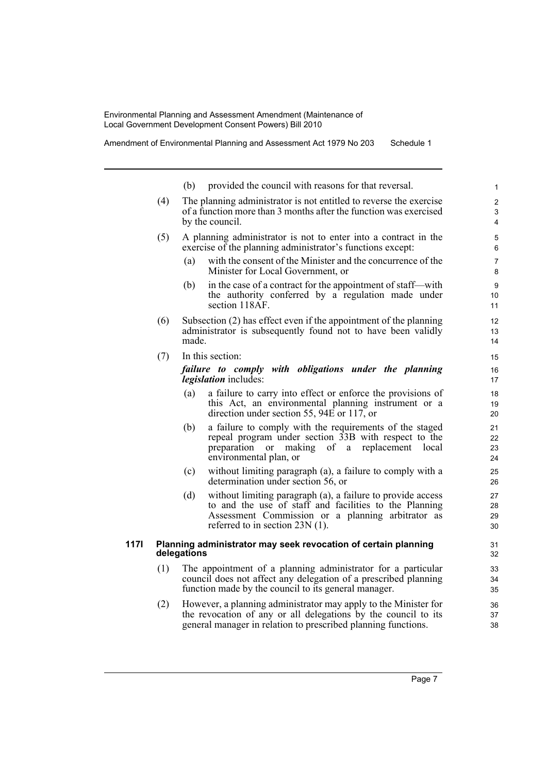Amendment of Environmental Planning and Assessment Act 1979 No 203 Schedule 1

(b) provided the council with reasons for that reversal. (4) The planning administrator is not entitled to reverse the exercise of a function more than 3 months after the function was exercised by the council. (5) A planning administrator is not to enter into a contract in the exercise of the planning administrator's functions except: (a) with the consent of the Minister and the concurrence of the Minister for Local Government, or (b) in the case of a contract for the appointment of staff—with the authority conferred by a regulation made under section 118AF. (6) Subsection (2) has effect even if the appointment of the planning administrator is subsequently found not to have been validly made. (7) In this section: *failure to comply with obligations under the planning legislation* includes: (a) a failure to carry into effect or enforce the provisions of this Act, an environmental planning instrument or a direction under section 55, 94E or 117, or (b) a failure to comply with the requirements of the staged repeal program under section 33B with respect to the preparation or making of a replacement local environmental plan, or (c) without limiting paragraph (a), a failure to comply with a determination under section 56, or (d) without limiting paragraph (a), a failure to provide access to and the use of staff and facilities to the Planning Assessment Commission or a planning arbitrator as referred to in section 23N (1). **117I Planning administrator may seek revocation of certain planning delegations** (1) The appointment of a planning administrator for a particular council does not affect any delegation of a prescribed planning function made by the council to its general manager. 1  $\overline{2}$ 3 4 5 6 7 8 9 10 11 12 13 14 15 16 17 18 19  $20$ 21 22 23 24 25 26 27 28 29 30 31 32 33 34 35 36

(2) However, a planning administrator may apply to the Minister for the revocation of any or all delegations by the council to its general manager in relation to prescribed planning functions.

Page 7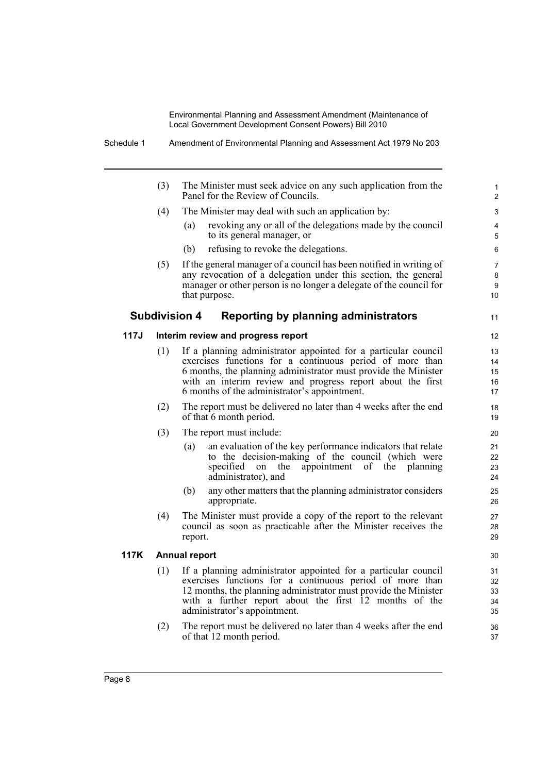| The Minister must seek advice on any such application from the                                                                                                                                                                                                                                                                                                                                                                                                                                                                                                                                                                                                 |
|----------------------------------------------------------------------------------------------------------------------------------------------------------------------------------------------------------------------------------------------------------------------------------------------------------------------------------------------------------------------------------------------------------------------------------------------------------------------------------------------------------------------------------------------------------------------------------------------------------------------------------------------------------------|
|                                                                                                                                                                                                                                                                                                                                                                                                                                                                                                                                                                                                                                                                |
| revoking any or all of the delegations made by the council                                                                                                                                                                                                                                                                                                                                                                                                                                                                                                                                                                                                     |
|                                                                                                                                                                                                                                                                                                                                                                                                                                                                                                                                                                                                                                                                |
| If the general manager of a council has been notified in writing of<br>any revocation of a delegation under this section, the general<br>manager or other person is no longer a delegate of the council for<br>10                                                                                                                                                                                                                                                                                                                                                                                                                                              |
| 11                                                                                                                                                                                                                                                                                                                                                                                                                                                                                                                                                                                                                                                             |
| $12 \overline{ }$                                                                                                                                                                                                                                                                                                                                                                                                                                                                                                                                                                                                                                              |
| If a planning administrator appointed for a particular council<br>13<br>exercises functions for a continuous period of more than<br>14<br>6 months, the planning administrator must provide the Minister<br>15<br>with an interim review and progress report about the first<br>16<br>17                                                                                                                                                                                                                                                                                                                                                                       |
| The report must be delivered no later than 4 weeks after the end<br>18<br>19                                                                                                                                                                                                                                                                                                                                                                                                                                                                                                                                                                                   |
| 20                                                                                                                                                                                                                                                                                                                                                                                                                                                                                                                                                                                                                                                             |
| 21<br>22<br>23<br>24                                                                                                                                                                                                                                                                                                                                                                                                                                                                                                                                                                                                                                           |
| 25<br>26                                                                                                                                                                                                                                                                                                                                                                                                                                                                                                                                                                                                                                                       |
| 27<br>28<br>29                                                                                                                                                                                                                                                                                                                                                                                                                                                                                                                                                                                                                                                 |
| 30                                                                                                                                                                                                                                                                                                                                                                                                                                                                                                                                                                                                                                                             |
| 31<br>32<br>33<br>34<br>35                                                                                                                                                                                                                                                                                                                                                                                                                                                                                                                                                                                                                                     |
| 36<br>37                                                                                                                                                                                                                                                                                                                                                                                                                                                                                                                                                                                                                                                       |
| an evaluation of the key performance indicators that relate<br>to the decision-making of the council (which were<br>planning<br>any other matters that the planning administrator considers<br>The Minister must provide a copy of the report to the relevant<br>council as soon as practicable after the Minister receives the<br>If a planning administrator appointed for a particular council<br>exercises functions for a continuous period of more than<br>12 months, the planning administrator must provide the Minister<br>with a further report about the first 12 months of the<br>The report must be delivered no later than 4 weeks after the end |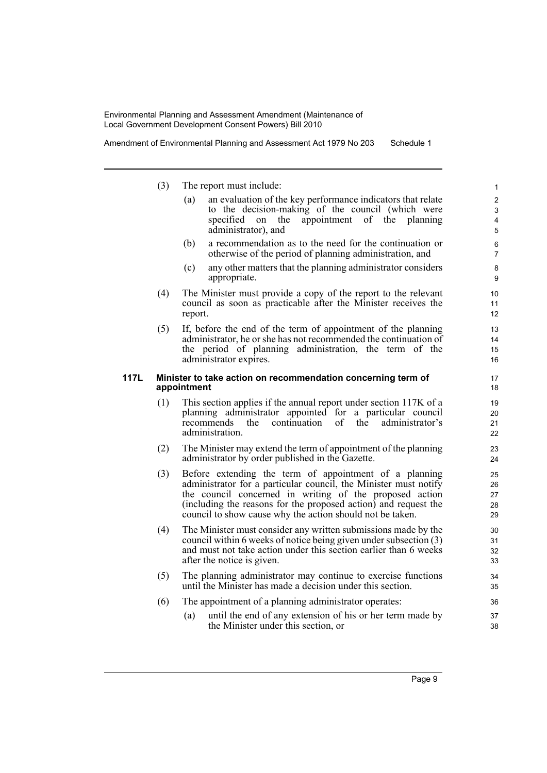Amendment of Environmental Planning and Assessment Act 1979 No 203 Schedule 1

- (3) The report must include:
	- (a) an evaluation of the key performance indicators that relate to the decision-making of the council (which were specified on the appointment of the planning administrator), and
	- (b) a recommendation as to the need for the continuation or otherwise of the period of planning administration, and
	- (c) any other matters that the planning administrator considers appropriate.
- (4) The Minister must provide a copy of the report to the relevant council as soon as practicable after the Minister receives the report.
- (5) If, before the end of the term of appointment of the planning administrator, he or she has not recommended the continuation of the period of planning administration, the term of the administrator expires.

### **117L Minister to take action on recommendation concerning term of appointment**

- (1) This section applies if the annual report under section 117K of a planning administrator appointed for a particular council recommends the continuation of the administrator's administration.
- (2) The Minister may extend the term of appointment of the planning administrator by order published in the Gazette.
- (3) Before extending the term of appointment of a planning administrator for a particular council, the Minister must notify the council concerned in writing of the proposed action (including the reasons for the proposed action) and request the council to show cause why the action should not be taken.
- (4) The Minister must consider any written submissions made by the council within 6 weeks of notice being given under subsection (3) and must not take action under this section earlier than 6 weeks after the notice is given.
- (5) The planning administrator may continue to exercise functions until the Minister has made a decision under this section.
- (6) The appointment of a planning administrator operates:
	- (a) until the end of any extension of his or her term made by the Minister under this section, or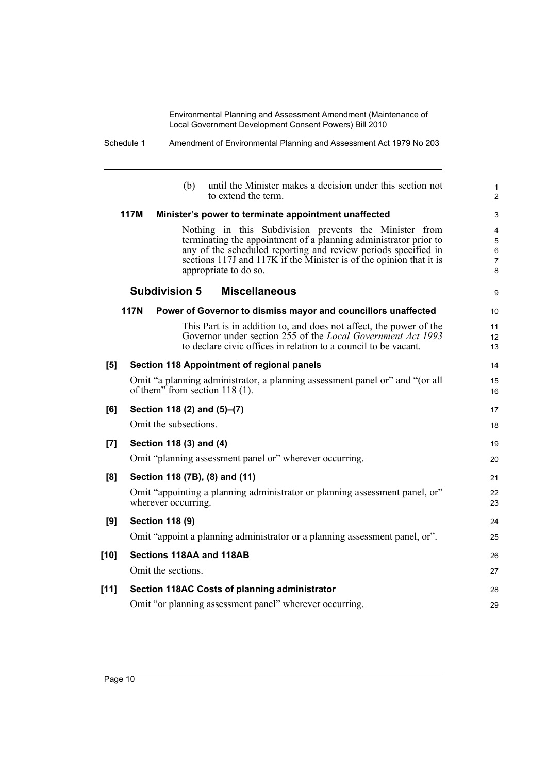Schedule 1 Amendment of Environmental Planning and Assessment Act 1979 No 203

|        | until the Minister makes a decision under this section not<br>(b)<br>to extend the term                                                                                                                                                                                                      | 1<br>$\overline{c}$   |
|--------|----------------------------------------------------------------------------------------------------------------------------------------------------------------------------------------------------------------------------------------------------------------------------------------------|-----------------------|
|        | <b>117M</b><br>Minister's power to terminate appointment unaffected                                                                                                                                                                                                                          | 3                     |
|        | Nothing in this Subdivision prevents the Minister from<br>terminating the appointment of a planning administrator prior to<br>any of the scheduled reporting and review periods specified in<br>sections 117J and 117K if the Minister is of the opinion that it is<br>appropriate to do so. | 4<br>5<br>6<br>7<br>8 |
|        | <b>Subdivision 5</b><br><b>Miscellaneous</b>                                                                                                                                                                                                                                                 | 9                     |
|        | <b>117N</b><br>Power of Governor to dismiss mayor and councillors unaffected                                                                                                                                                                                                                 | 10                    |
|        | This Part is in addition to, and does not affect, the power of the<br>Governor under section 255 of the Local Government Act 1993<br>to declare civic offices in relation to a council to be vacant.                                                                                         | 11<br>12<br>13        |
| [5]    | <b>Section 118 Appointment of regional panels</b>                                                                                                                                                                                                                                            | 14                    |
|        | Omit "a planning administrator, a planning assessment panel or" and "(or all<br>of them" from section $118(1)$ .                                                                                                                                                                             | 15<br>16              |
| [6]    | Section 118 (2) and (5)–(7)                                                                                                                                                                                                                                                                  | 17                    |
|        | Omit the subsections.                                                                                                                                                                                                                                                                        | 18                    |
| [7]    | Section 118 (3) and (4)                                                                                                                                                                                                                                                                      | 19                    |
|        | Omit "planning assessment panel or" wherever occurring.                                                                                                                                                                                                                                      | 20                    |
| [8]    | Section 118 (7B), (8) and (11)                                                                                                                                                                                                                                                               | 21                    |
|        | Omit "appointing a planning administrator or planning assessment panel, or"<br>wherever occurring.                                                                                                                                                                                           | 22<br>23              |
| [9]    | <b>Section 118 (9)</b>                                                                                                                                                                                                                                                                       | 24                    |
|        | Omit "appoint a planning administrator or a planning assessment panel, or".                                                                                                                                                                                                                  | 25                    |
| $[10]$ | Sections 118AA and 118AB                                                                                                                                                                                                                                                                     | 26                    |
|        | Omit the sections.                                                                                                                                                                                                                                                                           | 27                    |
| $[11]$ | Section 118AC Costs of planning administrator                                                                                                                                                                                                                                                | 28                    |
|        | Omit "or planning assessment panel" wherever occurring.                                                                                                                                                                                                                                      | 29                    |
|        |                                                                                                                                                                                                                                                                                              |                       |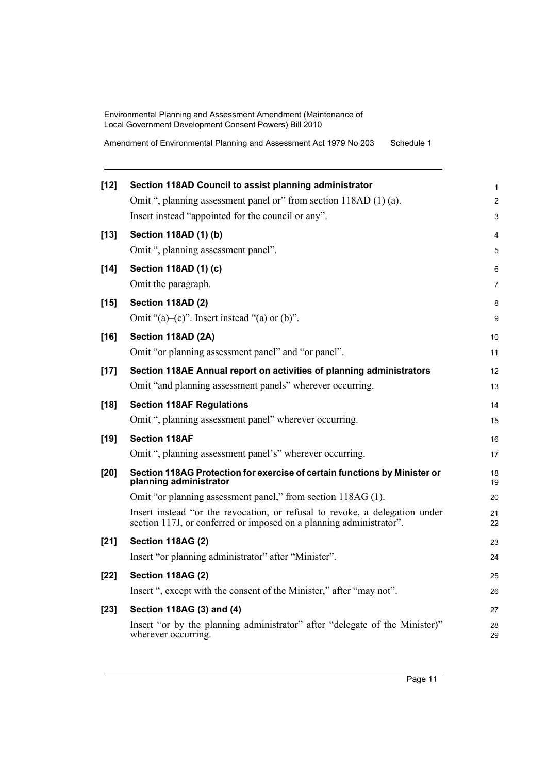Amendment of Environmental Planning and Assessment Act 1979 No 203 Schedule 1

| $[12]$ | Section 118AD Council to assist planning administrator                                                                                             | 1              |
|--------|----------------------------------------------------------------------------------------------------------------------------------------------------|----------------|
|        | Omit ", planning assessment panel or" from section 118AD (1) (a).                                                                                  | $\overline{c}$ |
|        | Insert instead "appointed for the council or any".                                                                                                 | 3              |
| $[13]$ | Section 118AD (1) (b)                                                                                                                              | 4              |
|        | Omit ", planning assessment panel".                                                                                                                | 5              |
| $[14]$ | Section 118AD (1) (c)                                                                                                                              | 6              |
|        | Omit the paragraph.                                                                                                                                | 7              |
| $[15]$ | Section 118AD (2)                                                                                                                                  | 8              |
|        | Omit " $(a)$ - $(c)$ ". Insert instead " $(a)$ or $(b)$ ".                                                                                         | 9              |
| $[16]$ | Section 118AD (2A)                                                                                                                                 | 10             |
|        | Omit "or planning assessment panel" and "or panel".                                                                                                | 11             |
| $[17]$ | Section 118AE Annual report on activities of planning administrators                                                                               | 12             |
|        | Omit "and planning assessment panels" wherever occurring.                                                                                          | 13             |
| $[18]$ | <b>Section 118AF Regulations</b>                                                                                                                   | 14             |
|        | Omit ", planning assessment panel" wherever occurring.                                                                                             | 15             |
| $[19]$ | <b>Section 118AF</b>                                                                                                                               | 16             |
|        | Omit ", planning assessment panel's" wherever occurring.                                                                                           | 17             |
| $[20]$ | Section 118AG Protection for exercise of certain functions by Minister or<br>planning administrator                                                | 18<br>19       |
|        | Omit "or planning assessment panel," from section 118AG (1).                                                                                       | 20             |
|        | Insert instead "or the revocation, or refusal to revoke, a delegation under<br>section 117J, or conferred or imposed on a planning administrator". | 21<br>22       |
| $[21]$ | <b>Section 118AG (2)</b>                                                                                                                           | 23             |
|        | Insert "or planning administrator" after "Minister".                                                                                               | 24             |
| $[22]$ | Section 118AG (2)                                                                                                                                  | 25             |
|        | Insert ", except with the consent of the Minister," after "may not".                                                                               | 26             |
| $[23]$ | Section 118AG (3) and (4)                                                                                                                          | 27             |
|        | Insert "or by the planning administrator" after "delegate of the Minister)"<br>wherever occurring.                                                 | 28<br>29       |
|        |                                                                                                                                                    |                |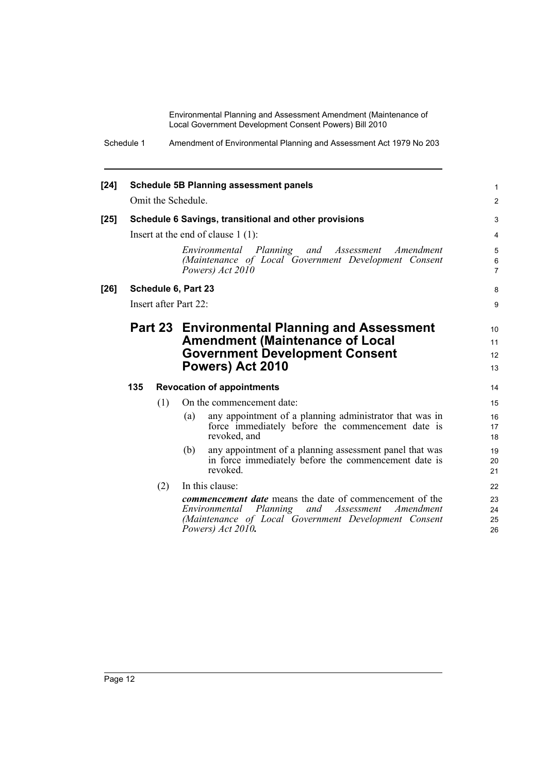Schedule 1 Amendment of Environmental Planning and Assessment Act 1979 No 203

| $[24]$ |     |                       |     | <b>Schedule 5B Planning assessment panels</b>                                                                                                                                                  | 1                        |
|--------|-----|-----------------------|-----|------------------------------------------------------------------------------------------------------------------------------------------------------------------------------------------------|--------------------------|
|        |     | Omit the Schedule.    |     | $\overline{2}$                                                                                                                                                                                 |                          |
| $[25]$ |     |                       |     | Schedule 6 Savings, transitional and other provisions                                                                                                                                          | 3                        |
|        |     |                       |     | Insert at the end of clause $1(1)$ :                                                                                                                                                           | 4                        |
|        |     |                       |     | Environmental Planning and Assessment<br>Amendment<br>(Maintenance of Local Government Development Consent<br>Powers) Act 2010                                                                 | 5<br>6<br>$\overline{7}$ |
| $[26]$ |     | Schedule 6, Part 23   |     |                                                                                                                                                                                                | 8                        |
|        |     | Insert after Part 22: |     |                                                                                                                                                                                                | 9                        |
|        |     |                       |     | Part 23 Environmental Planning and Assessment<br><b>Amendment (Maintenance of Local</b><br><b>Government Development Consent</b><br>Powers) Act 2010                                           | 10<br>11<br>12<br>13     |
|        | 135 |                       |     | <b>Revocation of appointments</b>                                                                                                                                                              | 14                       |
|        |     | (1)                   |     | On the commencement date:                                                                                                                                                                      | 15                       |
|        |     |                       | (a) | any appointment of a planning administrator that was in<br>force immediately before the commencement date is<br>revoked, and                                                                   | 16<br>17<br>18           |
|        |     |                       | (b) | any appointment of a planning assessment panel that was<br>in force immediately before the commencement date is<br>revoked.                                                                    | 19<br>20<br>21           |
|        |     | (2)                   |     | In this clause:                                                                                                                                                                                | 22                       |
|        |     |                       |     | <i>commencement date</i> means the date of commencement of the<br>Environmental Planning and Assessment Amendment<br>(Maintenance of Local Government Development Consent<br>Powers) Act 2010. | 23<br>24<br>25<br>26     |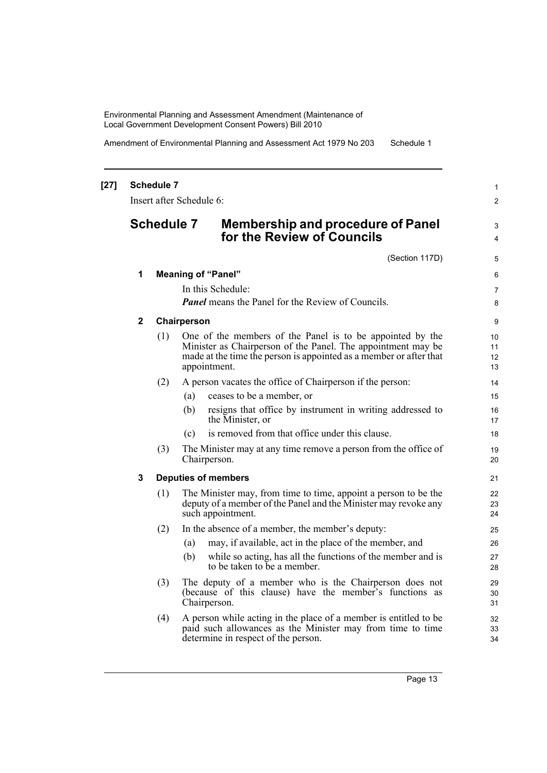Amendment of Environmental Planning and Assessment Act 1979 No 203 Schedule 1

|              | <b>Schedule 7</b> | Insert after Schedule 6: |                                                                                                                                                                                                 | $\mathbf{1}$<br>2 |
|--------------|-------------------|--------------------------|-------------------------------------------------------------------------------------------------------------------------------------------------------------------------------------------------|-------------------|
|              | <b>Schedule 7</b> |                          | <b>Membership and procedure of Panel</b><br>for the Review of Councils                                                                                                                          | 3<br>4            |
|              |                   |                          | (Section 117D)                                                                                                                                                                                  | 5                 |
| 1            |                   |                          | <b>Meaning of "Panel"</b>                                                                                                                                                                       | 6                 |
|              |                   |                          | In this Schedule:                                                                                                                                                                               | $\overline{7}$    |
|              |                   |                          | <b>Panel</b> means the Panel for the Review of Councils.                                                                                                                                        | 8                 |
| $\mathbf{2}$ |                   | Chairperson              |                                                                                                                                                                                                 | 9                 |
|              | (1)               |                          | One of the members of the Panel is to be appointed by the<br>Minister as Chairperson of the Panel. The appointment may be<br>made at the time the person is appointed as a member or after that | 10<br>11<br>12    |
|              |                   |                          | appointment.                                                                                                                                                                                    | 13                |
|              | (2)               |                          | A person vacates the office of Chairperson if the person:                                                                                                                                       | 14                |
|              |                   | (a)                      | ceases to be a member, or                                                                                                                                                                       | 15                |
|              |                   | (b)                      | resigns that office by instrument in writing addressed to<br>the Minister, or                                                                                                                   | 16<br>17          |
|              |                   | (c)                      | is removed from that office under this clause.                                                                                                                                                  | 18                |
|              | (3)               | Chairperson.             | The Minister may at any time remove a person from the office of                                                                                                                                 | 19<br>20          |
| 3            |                   |                          | <b>Deputies of members</b>                                                                                                                                                                      | 21                |
|              | (1)               |                          | The Minister may, from time to time, appoint a person to be the<br>deputy of a member of the Panel and the Minister may revoke any<br>such appointment.                                         | 22<br>23<br>24    |
|              | (2)               |                          | In the absence of a member, the member's deputy:                                                                                                                                                | 25                |
|              |                   | (a)                      | may, if available, act in the place of the member, and                                                                                                                                          | 26                |
|              |                   | (b)                      | while so acting, has all the functions of the member and is<br>to be taken to be a member.                                                                                                      | 27<br>28          |
|              | (3)               | Chairperson.             | The deputy of a member who is the Chairperson does not<br>(because of this clause) have the member's functions as                                                                               | 29<br>30<br>31    |
|              | (4)               |                          | A person while acting in the place of a member is entitled to be<br>paid such allowances as the Minister may from time to time<br>determine in respect of the person.                           | 32<br>33<br>34    |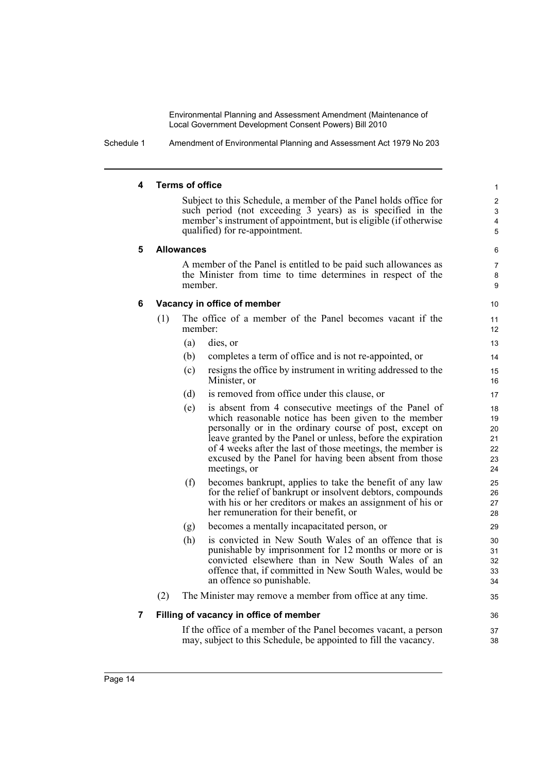Schedule 1 Amendment of Environmental Planning and Assessment Act 1979 No 203

### **4 Terms of office**

Subject to this Schedule, a member of the Panel holds office for such period (not exceeding 3 years) as is specified in the member's instrument of appointment, but is eligible (if otherwise qualified) for re-appointment.

36 37 38

### **5 Allowances**

A member of the Panel is entitled to be paid such allowances as the Minister from time to time determines in respect of the member.

## **6 Vacancy in office of member**

- (1) The office of a member of the Panel becomes vacant if the member:
	- (a) dies, or
	- (b) completes a term of office and is not re-appointed, or
	- (c) resigns the office by instrument in writing addressed to the Minister, or
	- (d) is removed from office under this clause, or
	- (e) is absent from 4 consecutive meetings of the Panel of which reasonable notice has been given to the member personally or in the ordinary course of post, except on leave granted by the Panel or unless, before the expiration of 4 weeks after the last of those meetings, the member is excused by the Panel for having been absent from those meetings, or
	- (f) becomes bankrupt, applies to take the benefit of any law for the relief of bankrupt or insolvent debtors, compounds with his or her creditors or makes an assignment of his or her remuneration for their benefit, or
	- (g) becomes a mentally incapacitated person, or
	- (h) is convicted in New South Wales of an offence that is punishable by imprisonment for 12 months or more or is convicted elsewhere than in New South Wales of an offence that, if committed in New South Wales, would be an offence so punishable.
- (2) The Minister may remove a member from office at any time.

## **7 Filling of vacancy in office of member**

If the office of a member of the Panel becomes vacant, a person may, subject to this Schedule, be appointed to fill the vacancy.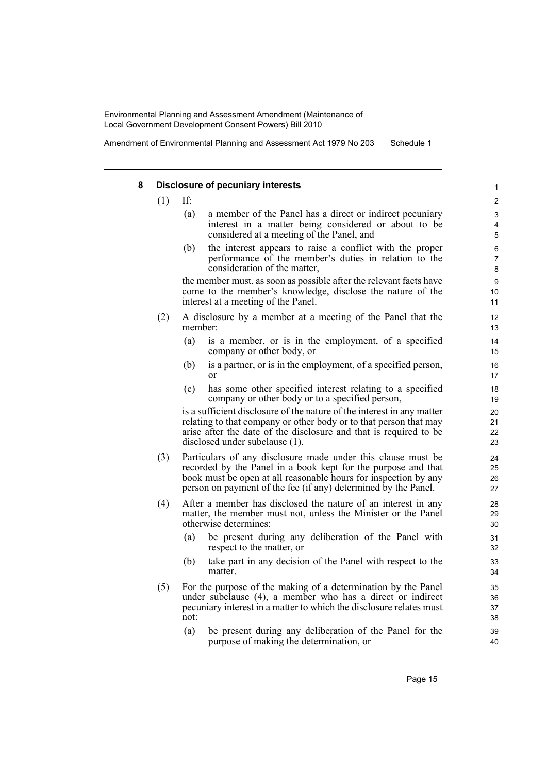Amendment of Environmental Planning and Assessment Act 1979 No 203 Schedule 1

#### **8 Disclosure of pecuniary interests**

 $(1)$  If:

- (a) a member of the Panel has a direct or indirect pecuniary interest in a matter being considered or about to be considered at a meeting of the Panel, and
- (b) the interest appears to raise a conflict with the proper performance of the member's duties in relation to the consideration of the matter,

the member must, as soon as possible after the relevant facts have come to the member's knowledge, disclose the nature of the interest at a meeting of the Panel.

- (2) A disclosure by a member at a meeting of the Panel that the member:
	- (a) is a member, or is in the employment, of a specified company or other body, or
	- (b) is a partner, or is in the employment, of a specified person, or
	- (c) has some other specified interest relating to a specified company or other body or to a specified person,

is a sufficient disclosure of the nature of the interest in any matter relating to that company or other body or to that person that may arise after the date of the disclosure and that is required to be disclosed under subclause (1).

- (3) Particulars of any disclosure made under this clause must be recorded by the Panel in a book kept for the purpose and that book must be open at all reasonable hours for inspection by any person on payment of the fee (if any) determined by the Panel.
- (4) After a member has disclosed the nature of an interest in any matter, the member must not, unless the Minister or the Panel otherwise determines:
	- (a) be present during any deliberation of the Panel with respect to the matter, or
	- (b) take part in any decision of the Panel with respect to the matter.
- (5) For the purpose of the making of a determination by the Panel under subclause (4), a member who has a direct or indirect pecuniary interest in a matter to which the disclosure relates must not:
	- (a) be present during any deliberation of the Panel for the purpose of making the determination, or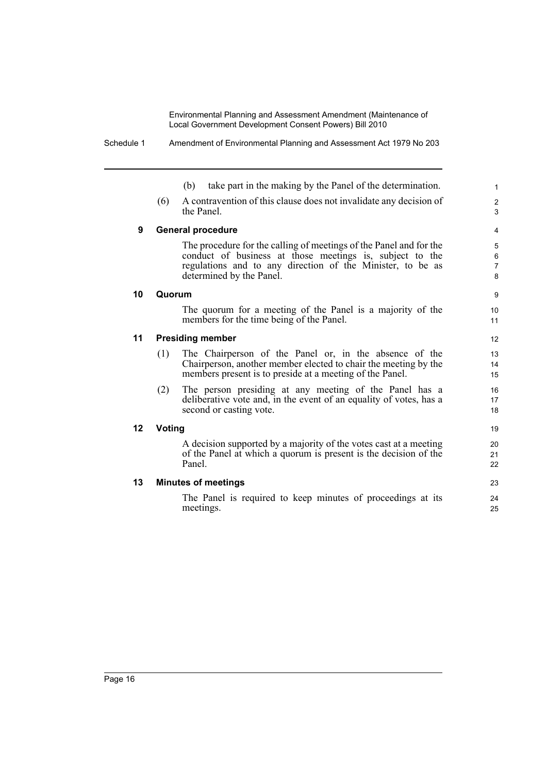|    | take part in the making by the Panel of the determination.<br>(b)                                                                                                                                                        |  |  |  |  |
|----|--------------------------------------------------------------------------------------------------------------------------------------------------------------------------------------------------------------------------|--|--|--|--|
|    | A contravention of this clause does not invalidate any decision of<br>(6)<br>the Panel.                                                                                                                                  |  |  |  |  |
| 9  | <b>General procedure</b>                                                                                                                                                                                                 |  |  |  |  |
|    | The procedure for the calling of meetings of the Panel and for the<br>conduct of business at those meetings is, subject to the<br>regulations and to any direction of the Minister, to be as<br>determined by the Panel. |  |  |  |  |
| 10 | Quorum                                                                                                                                                                                                                   |  |  |  |  |
|    | The quorum for a meeting of the Panel is a majority of the<br>members for the time being of the Panel.                                                                                                                   |  |  |  |  |
| 11 | <b>Presiding member</b>                                                                                                                                                                                                  |  |  |  |  |
|    | The Chairperson of the Panel or, in the absence of the<br>(1)<br>Chairperson, another member elected to chair the meeting by the<br>members present is to preside at a meeting of the Panel.                             |  |  |  |  |
|    | (2)<br>The person presiding at any meeting of the Panel has a<br>deliberative vote and, in the event of an equality of votes, has a<br>second or casting vote.                                                           |  |  |  |  |
| 12 | Voting                                                                                                                                                                                                                   |  |  |  |  |
|    | A decision supported by a majority of the votes cast at a meeting<br>of the Panel at which a quorum is present is the decision of the<br>Panel.                                                                          |  |  |  |  |
| 13 | <b>Minutes of meetings</b>                                                                                                                                                                                               |  |  |  |  |
|    | The Panel is required to keep minutes of proceedings at its<br>meetings.                                                                                                                                                 |  |  |  |  |

Schedule 1 Amendment of Environmental Planning and Assessment Act 1979 No 203